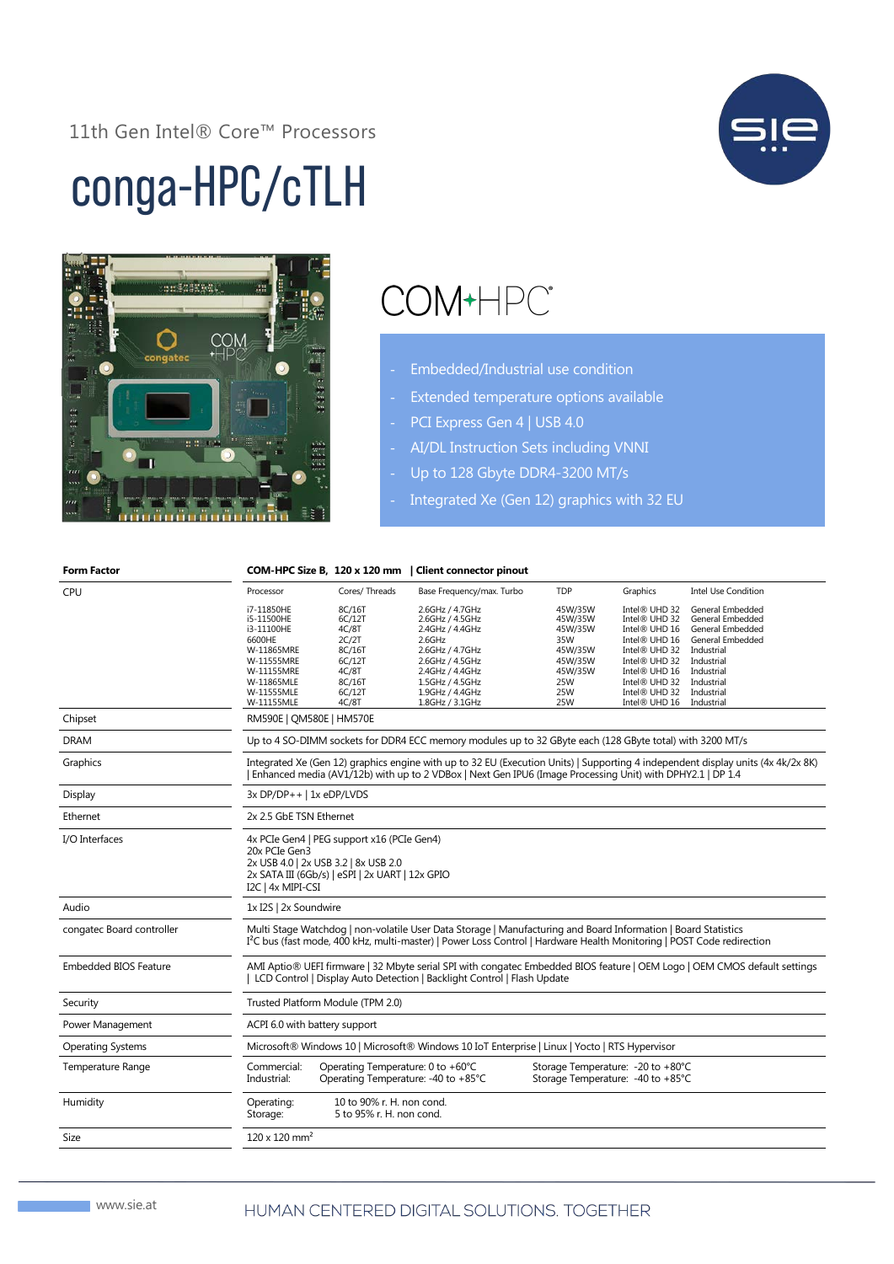#### 11th Gen Intel® Core™ Processors



# conga-HPC/cTLH



## COM+HPC\*

- Embedded/Industrial use condition
- Extended temperature options available
- PCI Express Gen 4 | USB 4.0
- AI/DL Instruction Sets including VNNI
- Up to 128 Gbyte DDR4-3200 MT/s
	- Integrated Xe (Gen 12) graphics with 32 EU

| <b>Form Factor</b>           |                                                                                                                                                                                                                                                     |                                                                          | COM-HPC Size B, 120 x 120 mm   Client connector pinout                                                |                                                                         |                                                                                                    |                                                                                                          |  |  |
|------------------------------|-----------------------------------------------------------------------------------------------------------------------------------------------------------------------------------------------------------------------------------------------------|--------------------------------------------------------------------------|-------------------------------------------------------------------------------------------------------|-------------------------------------------------------------------------|----------------------------------------------------------------------------------------------------|----------------------------------------------------------------------------------------------------------|--|--|
| CPU                          | Processor                                                                                                                                                                                                                                           | Cores/Threads                                                            | Base Frequency/max. Turbo                                                                             | <b>TDP</b>                                                              | Graphics                                                                                           | <b>Intel Use Condition</b>                                                                               |  |  |
|                              | i7-11850HE<br>i5-11500HE<br>i3-11100HE<br>6600HE<br>W-11865MRE<br>W-11555MRE                                                                                                                                                                        | 8C/16T<br>6C/12T<br>4C/8T<br>2C/2T<br>8C/16T<br>6C/12T                   | 2.6GHz / 4.7GHz<br>2.6GHz / 4.5GHz<br>2.4GHz / 4.4GHz<br>2.6GHz<br>2.6GHz / 4.7GHz<br>2.6GHz / 4.5GHz | 45W/35W<br>45W/35W<br>45W/35W<br>35W<br>45W/35W<br>45W/35W              | Intel® UHD 32<br>Intel® UHD 32<br>Intel® UHD 16<br>Intel® UHD 16<br>Intel® UHD 32<br>Intel® UHD 32 | General Embedded<br>General Embedded<br>General Embedded<br>General Embedded<br>Industrial<br>Industrial |  |  |
|                              | W-11155MRE<br>W-11865MLE                                                                                                                                                                                                                            | 4C/8T<br>8C/16T                                                          | 2.4GHz / 4.4GHz<br>1.5GHz / 4.5GHz                                                                    | 45W/35W<br>25W                                                          | Intel® UHD 16<br>Intel® UHD 32                                                                     | Industrial<br>Industrial                                                                                 |  |  |
|                              | W-11555MLE<br>W-11155MLE                                                                                                                                                                                                                            | 6C/12T<br>4C/8T                                                          | 1.9GHz / 4.4GHz<br>1.8GHz / 3.1GHz                                                                    | 25W<br>25W                                                              | Intel® UHD 32<br>Intel® UHD 16                                                                     | Industrial<br>Industrial                                                                                 |  |  |
| Chipset                      | RM590E   QM580E   HM570E                                                                                                                                                                                                                            |                                                                          |                                                                                                       |                                                                         |                                                                                                    |                                                                                                          |  |  |
| <b>DRAM</b>                  | Up to 4 SO-DIMM sockets for DDR4 ECC memory modules up to 32 GByte each (128 GByte total) with 3200 MT/s                                                                                                                                            |                                                                          |                                                                                                       |                                                                         |                                                                                                    |                                                                                                          |  |  |
| Graphics                     | Integrated Xe (Gen 12) graphics engine with up to 32 EU (Execution Units)   Supporting 4 independent display units (4x 4k/2x 8K)<br>Enhanced media (AV1/12b) with up to 2 VDBox   Next Gen IPU6 (Image Processing Unit) with DPHY2.1   DP 1.4       |                                                                          |                                                                                                       |                                                                         |                                                                                                    |                                                                                                          |  |  |
| Display                      | 3x DP/DP++   1x eDP/LVDS                                                                                                                                                                                                                            |                                                                          |                                                                                                       |                                                                         |                                                                                                    |                                                                                                          |  |  |
| Ethernet                     | 2x 2.5 GbE TSN Ethernet                                                                                                                                                                                                                             |                                                                          |                                                                                                       |                                                                         |                                                                                                    |                                                                                                          |  |  |
| I/O Interfaces               | 4x PCIe Gen4   PEG support x16 (PCIe Gen4)<br>20x PCIe Gen3<br>2x USB 4.0   2x USB 3.2   8x USB 2.0<br>2x SATA III (6Gb/s)   eSPI   2x UART   12x GPIO<br>I2C   4x MIPI-CSI                                                                         |                                                                          |                                                                                                       |                                                                         |                                                                                                    |                                                                                                          |  |  |
| Audio                        | 1x I2S   2x Soundwire                                                                                                                                                                                                                               |                                                                          |                                                                                                       |                                                                         |                                                                                                    |                                                                                                          |  |  |
| congatec Board controller    | Multi Stage Watchdog   non-volatile User Data Storage   Manufacturing and Board Information   Board Statistics<br>I <sup>2</sup> C bus (fast mode, 400 kHz, multi-master)   Power Loss Control   Hardware Health Monitoring   POST Code redirection |                                                                          |                                                                                                       |                                                                         |                                                                                                    |                                                                                                          |  |  |
| <b>Embedded BIOS Feature</b> | AMI Aptio® UEFI firmware   32 Mbyte serial SPI with congatec Embedded BIOS feature   OEM Logo   OEM CMOS default settings<br>LCD Control   Display Auto Detection   Backlight Control   Flash Update                                                |                                                                          |                                                                                                       |                                                                         |                                                                                                    |                                                                                                          |  |  |
| Security                     | Trusted Platform Module (TPM 2.0)                                                                                                                                                                                                                   |                                                                          |                                                                                                       |                                                                         |                                                                                                    |                                                                                                          |  |  |
| Power Management             |                                                                                                                                                                                                                                                     | ACPI 6.0 with battery support                                            |                                                                                                       |                                                                         |                                                                                                    |                                                                                                          |  |  |
| <b>Operating Systems</b>     | Microsoft® Windows 10   Microsoft® Windows 10 IoT Enterprise   Linux   Yocto   RTS Hypervisor                                                                                                                                                       |                                                                          |                                                                                                       |                                                                         |                                                                                                    |                                                                                                          |  |  |
| Temperature Range            | Commercial:<br>Industrial:                                                                                                                                                                                                                          | Operating Temperature: 0 to +60°C<br>Operating Temperature: -40 to +85°C |                                                                                                       | Storage Temperature: - 20 to +80°C<br>Storage Temperature: -40 to +85°C |                                                                                                    |                                                                                                          |  |  |
| Humidity                     | Operating:<br>Storage:                                                                                                                                                                                                                              | 10 to 90% r. H. non cond.<br>5 to 95% r. H. non cond.                    |                                                                                                       |                                                                         |                                                                                                    |                                                                                                          |  |  |
| Size                         | $120 \times 120$ mm <sup>2</sup>                                                                                                                                                                                                                    |                                                                          |                                                                                                       |                                                                         |                                                                                                    |                                                                                                          |  |  |
|                              |                                                                                                                                                                                                                                                     |                                                                          |                                                                                                       |                                                                         |                                                                                                    |                                                                                                          |  |  |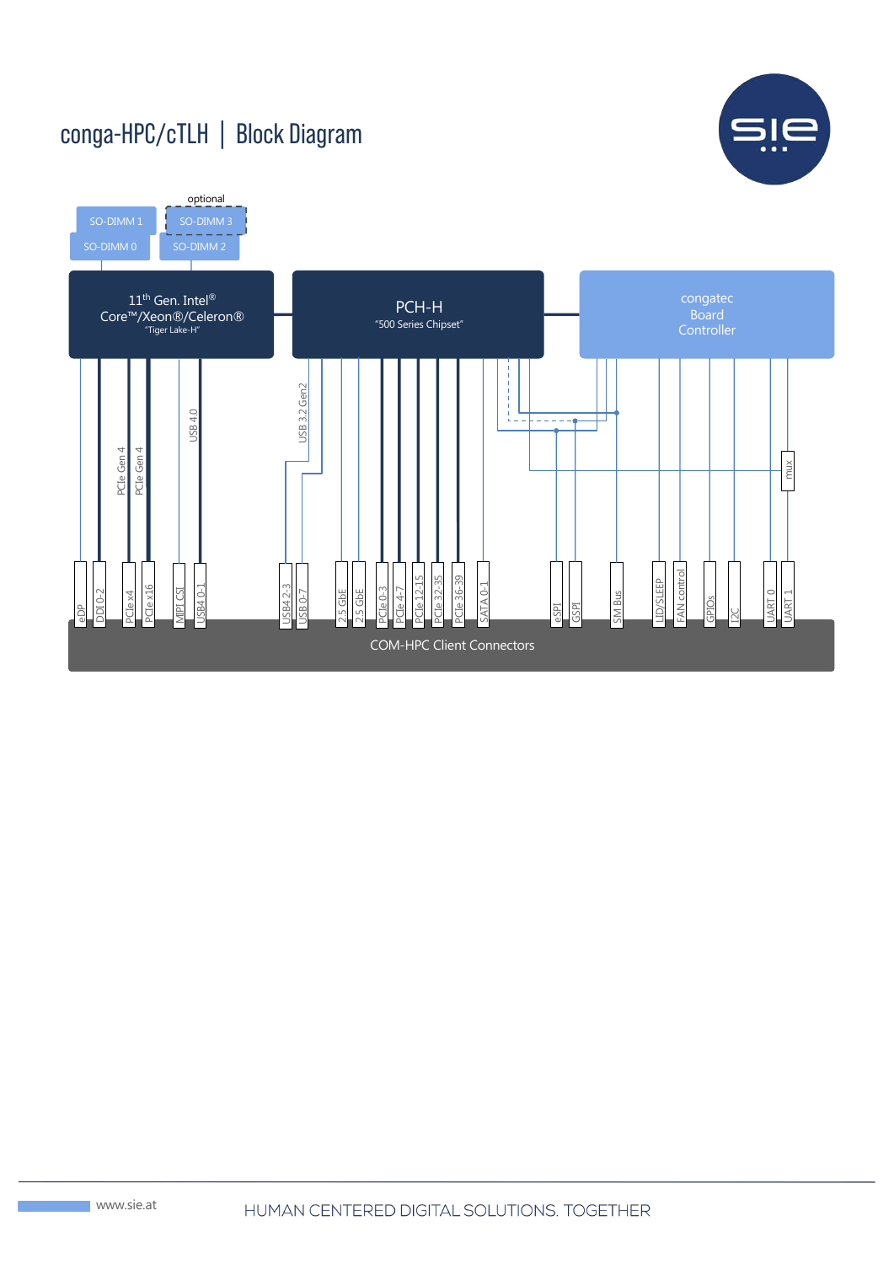#### conga-HPC/cTLH | Block Diagram



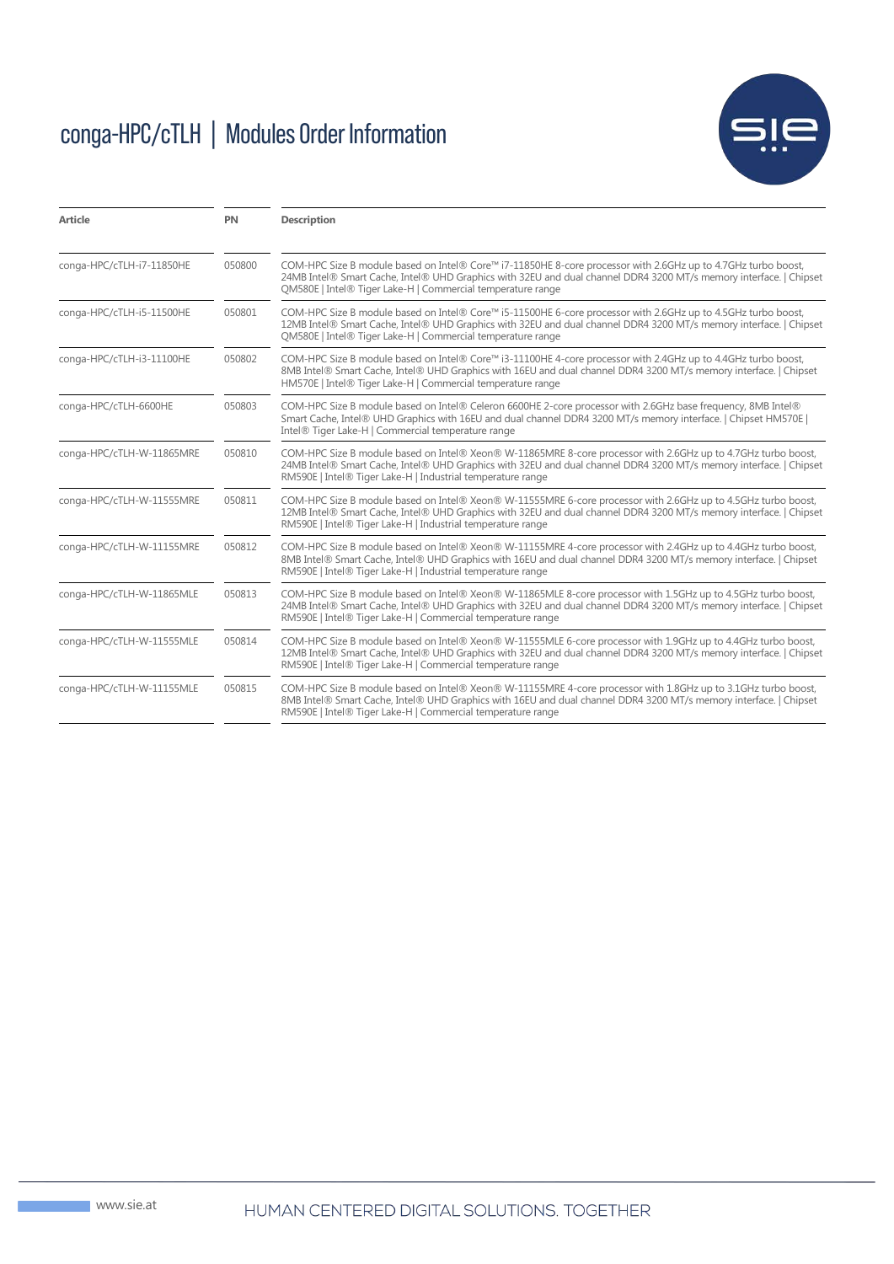### conga-HPC/cTLH | Modules Order Information



| Article                   | <b>PN</b> | <b>Description</b>                                                                                                                                                                                                                                                                                 |
|---------------------------|-----------|----------------------------------------------------------------------------------------------------------------------------------------------------------------------------------------------------------------------------------------------------------------------------------------------------|
| conga-HPC/cTLH-i7-11850HE | 050800    | COM-HPC Size B module based on Intel® Core™ i7-11850HE 8-core processor with 2.6GHz up to 4.7GHz turbo boost,<br>24MB Intel® Smart Cache, Intel® UHD Graphics with 32EU and dual channel DDR4 3200 MT/s memory interface.   Chipset<br>QM580E   Intel® Tiger Lake-H   Commercial temperature range |
| conga-HPC/cTLH-i5-11500HE | 050801    | COM-HPC Size B module based on Intel® Core™ i5-11500HE 6-core processor with 2.6GHz up to 4.5GHz turbo boost,<br>12MB Intel® Smart Cache, Intel® UHD Graphics with 32EU and dual channel DDR4 3200 MT/s memory interface.   Chipset<br>OM580E   Intel® Tiger Lake-H   Commercial temperature range |
| conga-HPC/cTLH-i3-11100HE | 050802    | COM-HPC Size B module based on Intel® Core™ i3-11100HE 4-core processor with 2.4GHz up to 4.4GHz turbo boost,<br>8MB Intel® Smart Cache, Intel® UHD Graphics with 16EU and dual channel DDR4 3200 MT/s memory interface.   Chipset<br>HM570E   Intel® Tiger Lake-H   Commercial temperature range  |
| conga-HPC/cTLH-6600HE     | 050803    | COM-HPC Size B module based on Intel® Celeron 6600HE 2-core processor with 2.6GHz base frequency, 8MB Intel®<br>Smart Cache, Intel® UHD Graphics with 16EU and dual channel DDR4 3200 MT/s memory interface.   Chipset HM570E  <br>Intel® Tiger Lake-H   Commercial temperature range              |
| conga-HPC/cTLH-W-11865MRE | 050810    | COM-HPC Size B module based on Intel® Xeon® W-11865MRE 8-core processor with 2.6GHz up to 4.7GHz turbo boost,<br>24MB Intel® Smart Cache, Intel® UHD Graphics with 32EU and dual channel DDR4 3200 MT/s memory interface.   Chipset<br>RM590E   Intel® Tiger Lake-H   Industrial temperature range |
| conga-HPC/cTLH-W-11555MRE | 050811    | COM-HPC Size B module based on Intel® Xeon® W-11555MRE 6-core processor with 2.6GHz up to 4.5GHz turbo boost,<br>12MB Intel® Smart Cache, Intel® UHD Graphics with 32EU and dual channel DDR4 3200 MT/s memory interface.   Chipset<br>RM590E   Intel® Tiger Lake-H   Industrial temperature range |
| conga-HPC/cTLH-W-11155MRE | 050812    | COM-HPC Size B module based on Intel® Xeon® W-11155MRE 4-core processor with 2.4GHz up to 4.4GHz turbo boost,<br>8MB Intel® Smart Cache, Intel® UHD Graphics with 16EU and dual channel DDR4 3200 MT/s memory interface.   Chipset<br>RM590E   Intel® Tiger Lake-H   Industrial temperature range  |
| conga-HPC/cTLH-W-11865MLE | 050813    | COM-HPC Size B module based on Intel® Xeon® W-11865MLE 8-core processor with 1.5GHz up to 4.5GHz turbo boost,<br>24MB Intel® Smart Cache, Intel® UHD Graphics with 32EU and dual channel DDR4 3200 MT/s memory interface.   Chipset<br>RM590E   Intel® Tiger Lake-H   Commercial temperature range |
| conga-HPC/cTLH-W-11555MLE | 050814    | COM-HPC Size B module based on Intel® Xeon® W-11555MLE 6-core processor with 1.9GHz up to 4.4GHz turbo boost,<br>12MB Intel® Smart Cache, Intel® UHD Graphics with 32EU and dual channel DDR4 3200 MT/s memory interface.   Chipset<br>RM590E   Intel® Tiger Lake-H   Commercial temperature range |
| conga-HPC/cTLH-W-11155MLE | 050815    | COM-HPC Size B module based on Intel® Xeon® W-11155MRE 4-core processor with 1.8GHz up to 3.1GHz turbo boost,<br>8MB Intel® Smart Cache, Intel® UHD Graphics with 16EU and dual channel DDR4 3200 MT/s memory interface.   Chipset<br>RM590E   Intel® Tiger Lake-H   Commercial temperature range  |